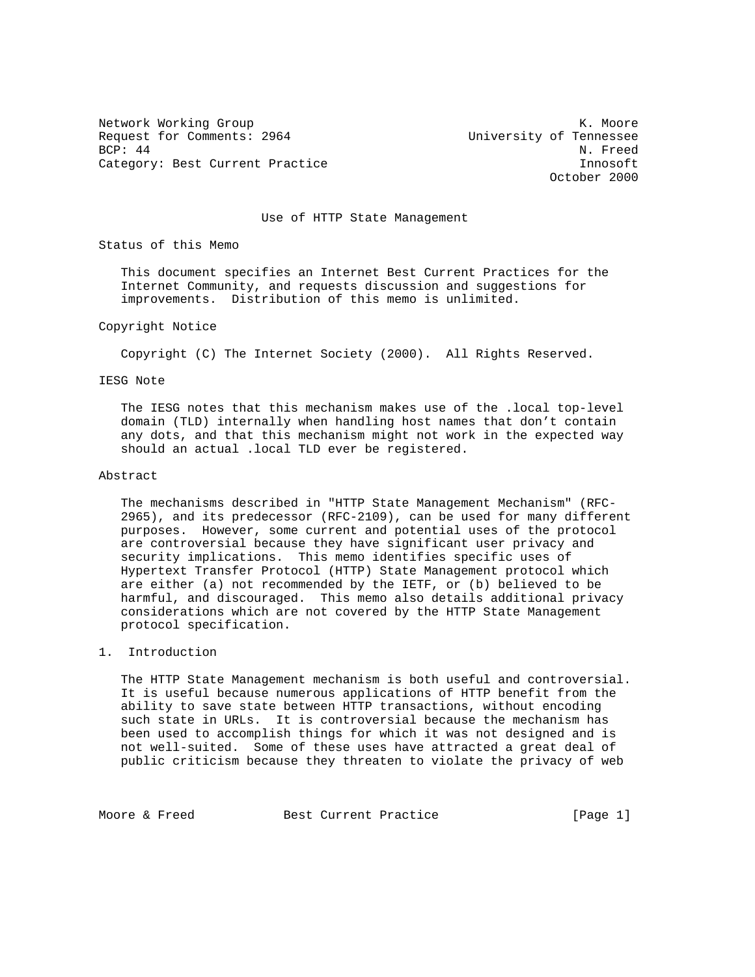Network Working Group Network Working Group Network Working Group Network Network Network Network Network Netwo Request for Comments: 2964 University of Tennessee<br>BCP: 44 N. Freed BCP: 44 N. Freed Category: Best Current Practice **Innosoft** 

October 2000

Use of HTTP State Management

Status of this Memo

 This document specifies an Internet Best Current Practices for the Internet Community, and requests discussion and suggestions for improvements. Distribution of this memo is unlimited.

## Copyright Notice

Copyright (C) The Internet Society (2000). All Rights Reserved.

## IESG Note

 The IESG notes that this mechanism makes use of the .local top-level domain (TLD) internally when handling host names that don't contain any dots, and that this mechanism might not work in the expected way should an actual .local TLD ever be registered.

## Abstract

 The mechanisms described in "HTTP State Management Mechanism" (RFC- 2965), and its predecessor (RFC-2109), can be used for many different purposes. However, some current and potential uses of the protocol are controversial because they have significant user privacy and security implications. This memo identifies specific uses of Hypertext Transfer Protocol (HTTP) State Management protocol which are either (a) not recommended by the IETF, or (b) believed to be harmful, and discouraged. This memo also details additional privacy considerations which are not covered by the HTTP State Management protocol specification.

## 1. Introduction

 The HTTP State Management mechanism is both useful and controversial. It is useful because numerous applications of HTTP benefit from the ability to save state between HTTP transactions, without encoding such state in URLs. It is controversial because the mechanism has been used to accomplish things for which it was not designed and is not well-suited. Some of these uses have attracted a great deal of public criticism because they threaten to violate the privacy of web

Moore & Freed Best Current Practice [Page 1]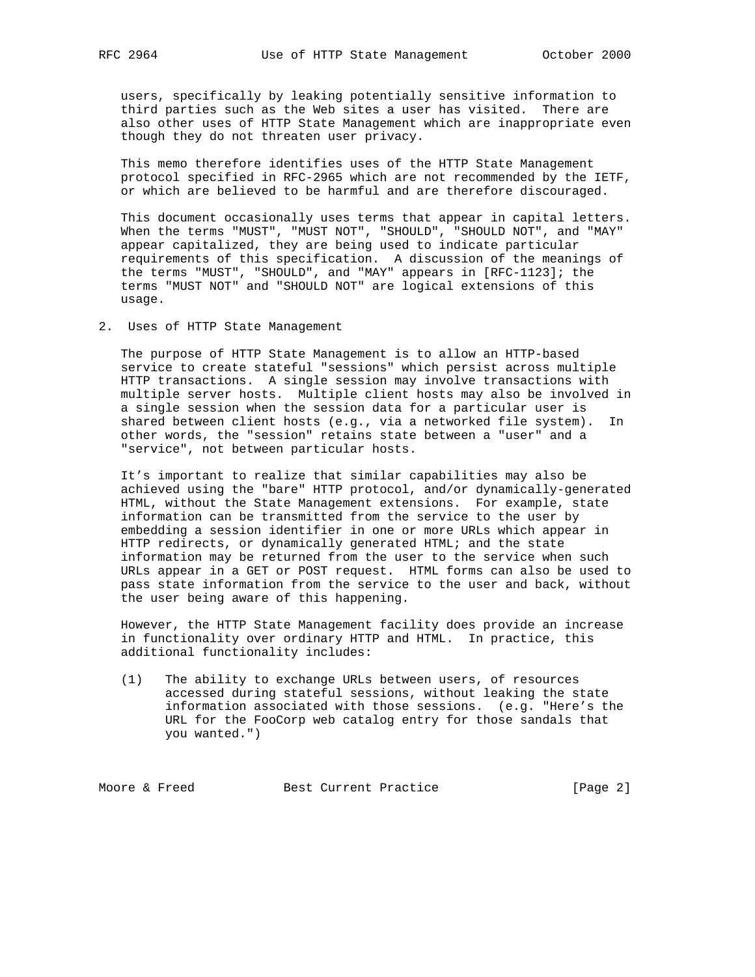users, specifically by leaking potentially sensitive information to third parties such as the Web sites a user has visited. There are also other uses of HTTP State Management which are inappropriate even though they do not threaten user privacy.

 This memo therefore identifies uses of the HTTP State Management protocol specified in RFC-2965 which are not recommended by the IETF, or which are believed to be harmful and are therefore discouraged.

 This document occasionally uses terms that appear in capital letters. When the terms "MUST", "MUST NOT", "SHOULD", "SHOULD NOT", and "MAY" appear capitalized, they are being used to indicate particular requirements of this specification. A discussion of the meanings of the terms "MUST", "SHOULD", and "MAY" appears in [RFC-1123]; the terms "MUST NOT" and "SHOULD NOT" are logical extensions of this usage.

2. Uses of HTTP State Management

 The purpose of HTTP State Management is to allow an HTTP-based service to create stateful "sessions" which persist across multiple HTTP transactions. A single session may involve transactions with multiple server hosts. Multiple client hosts may also be involved in a single session when the session data for a particular user is shared between client hosts (e.g., via a networked file system). In other words, the "session" retains state between a "user" and a "service", not between particular hosts.

 It's important to realize that similar capabilities may also be achieved using the "bare" HTTP protocol, and/or dynamically-generated HTML, without the State Management extensions. For example, state information can be transmitted from the service to the user by embedding a session identifier in one or more URLs which appear in HTTP redirects, or dynamically generated HTML; and the state information may be returned from the user to the service when such URLs appear in a GET or POST request. HTML forms can also be used to pass state information from the service to the user and back, without the user being aware of this happening.

 However, the HTTP State Management facility does provide an increase in functionality over ordinary HTTP and HTML. In practice, this additional functionality includes:

 (1) The ability to exchange URLs between users, of resources accessed during stateful sessions, without leaking the state information associated with those sessions. (e.g. "Here's the URL for the FooCorp web catalog entry for those sandals that you wanted.")

Moore & Freed Best Current Practice [Page 2]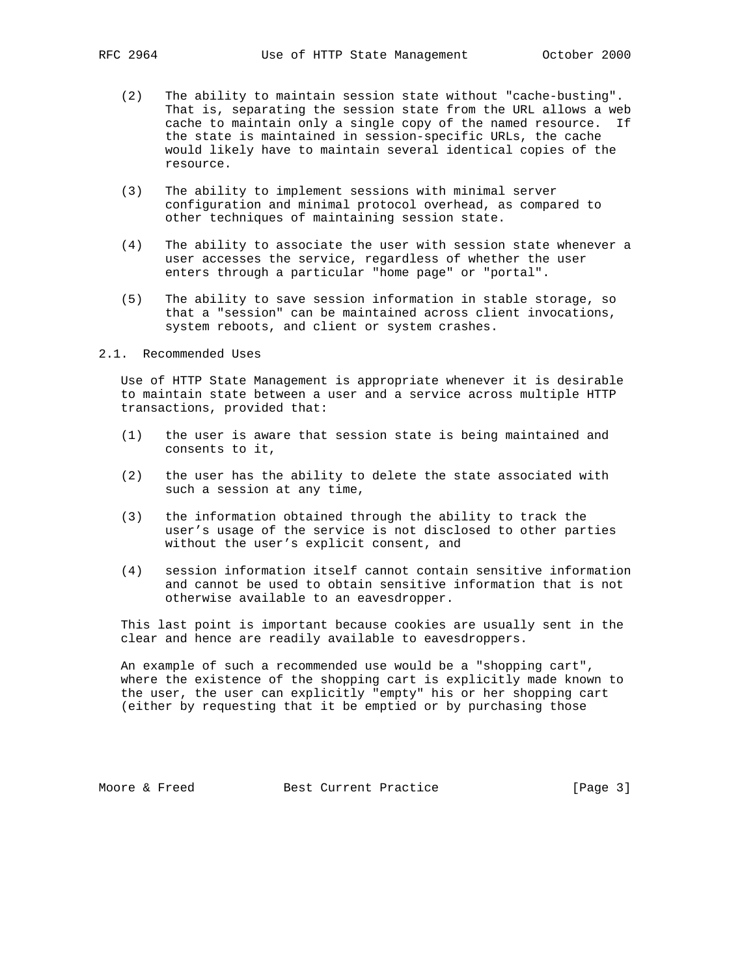- (2) The ability to maintain session state without "cache-busting". That is, separating the session state from the URL allows a web cache to maintain only a single copy of the named resource. If the state is maintained in session-specific URLs, the cache would likely have to maintain several identical copies of the resource.
- (3) The ability to implement sessions with minimal server configuration and minimal protocol overhead, as compared to other techniques of maintaining session state.
- (4) The ability to associate the user with session state whenever a user accesses the service, regardless of whether the user enters through a particular "home page" or "portal".
- (5) The ability to save session information in stable storage, so that a "session" can be maintained across client invocations, system reboots, and client or system crashes.
- 2.1. Recommended Uses

 Use of HTTP State Management is appropriate whenever it is desirable to maintain state between a user and a service across multiple HTTP transactions, provided that:

- (1) the user is aware that session state is being maintained and consents to it,
- (2) the user has the ability to delete the state associated with such a session at any time,
- (3) the information obtained through the ability to track the user's usage of the service is not disclosed to other parties without the user's explicit consent, and
- (4) session information itself cannot contain sensitive information and cannot be used to obtain sensitive information that is not otherwise available to an eavesdropper.

 This last point is important because cookies are usually sent in the clear and hence are readily available to eavesdroppers.

 An example of such a recommended use would be a "shopping cart", where the existence of the shopping cart is explicitly made known to the user, the user can explicitly "empty" his or her shopping cart (either by requesting that it be emptied or by purchasing those

Moore & Freed Best Current Practice [Page 3]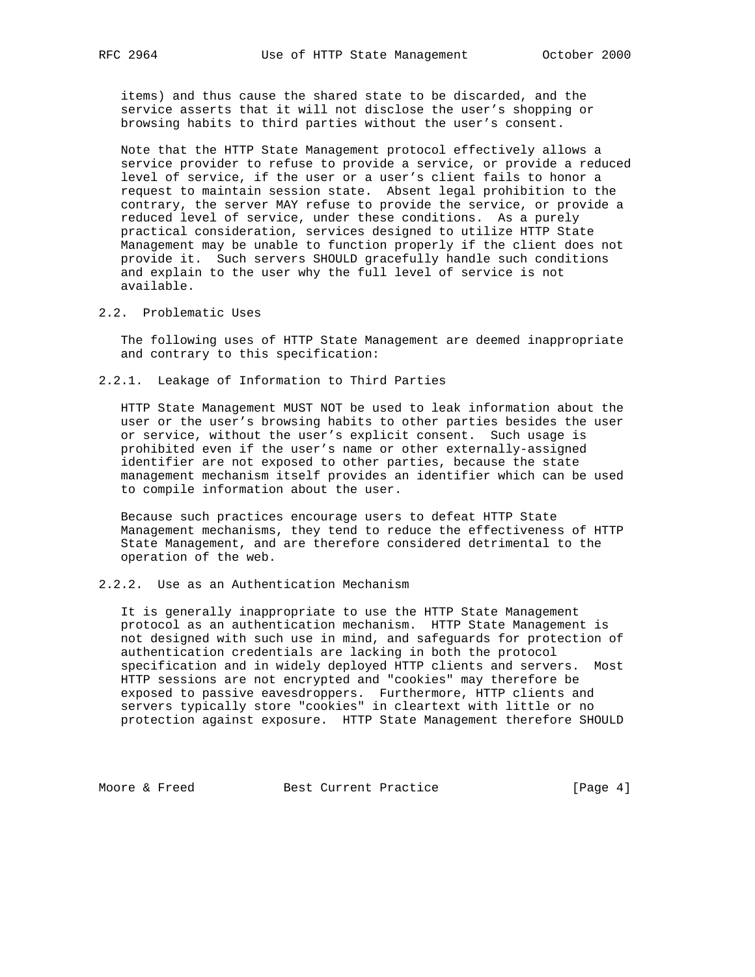items) and thus cause the shared state to be discarded, and the service asserts that it will not disclose the user's shopping or browsing habits to third parties without the user's consent.

 Note that the HTTP State Management protocol effectively allows a service provider to refuse to provide a service, or provide a reduced level of service, if the user or a user's client fails to honor a request to maintain session state. Absent legal prohibition to the contrary, the server MAY refuse to provide the service, or provide a reduced level of service, under these conditions. As a purely practical consideration, services designed to utilize HTTP State Management may be unable to function properly if the client does not provide it. Such servers SHOULD gracefully handle such conditions and explain to the user why the full level of service is not available.

2.2. Problematic Uses

 The following uses of HTTP State Management are deemed inappropriate and contrary to this specification:

2.2.1. Leakage of Information to Third Parties

 HTTP State Management MUST NOT be used to leak information about the user or the user's browsing habits to other parties besides the user or service, without the user's explicit consent. Such usage is prohibited even if the user's name or other externally-assigned identifier are not exposed to other parties, because the state management mechanism itself provides an identifier which can be used to compile information about the user.

 Because such practices encourage users to defeat HTTP State Management mechanisms, they tend to reduce the effectiveness of HTTP State Management, and are therefore considered detrimental to the operation of the web.

2.2.2. Use as an Authentication Mechanism

 It is generally inappropriate to use the HTTP State Management protocol as an authentication mechanism. HTTP State Management is not designed with such use in mind, and safeguards for protection of authentication credentials are lacking in both the protocol specification and in widely deployed HTTP clients and servers. Most HTTP sessions are not encrypted and "cookies" may therefore be exposed to passive eavesdroppers. Furthermore, HTTP clients and servers typically store "cookies" in cleartext with little or no protection against exposure. HTTP State Management therefore SHOULD

Moore & Freed Best Current Practice [Page 4]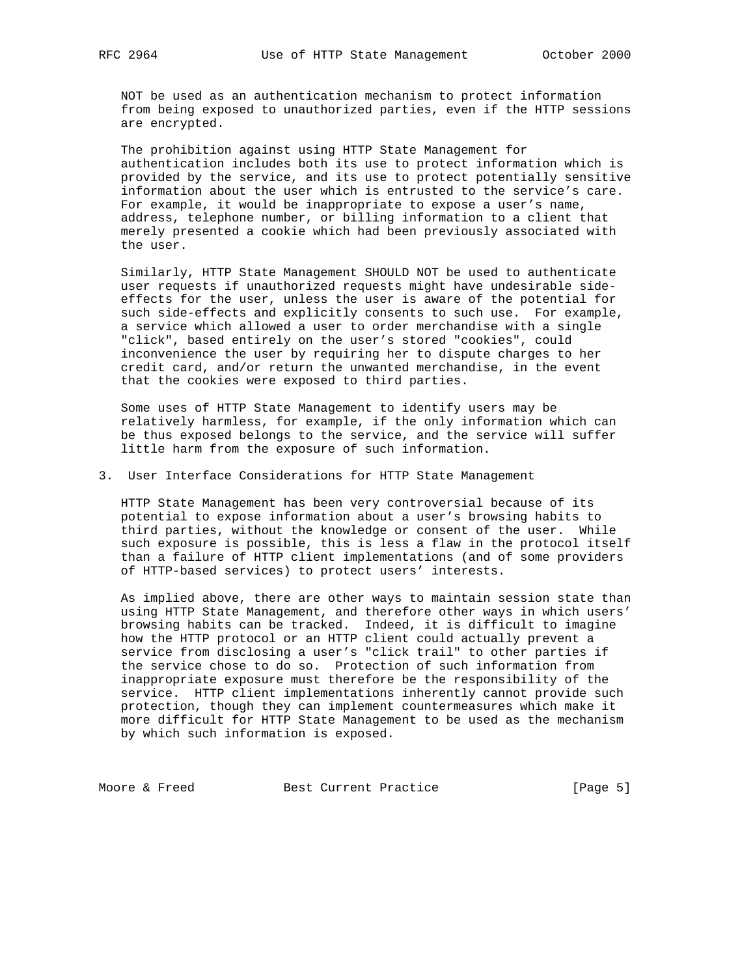NOT be used as an authentication mechanism to protect information from being exposed to unauthorized parties, even if the HTTP sessions are encrypted.

 The prohibition against using HTTP State Management for authentication includes both its use to protect information which is provided by the service, and its use to protect potentially sensitive information about the user which is entrusted to the service's care. For example, it would be inappropriate to expose a user's name, address, telephone number, or billing information to a client that merely presented a cookie which had been previously associated with the user.

 Similarly, HTTP State Management SHOULD NOT be used to authenticate user requests if unauthorized requests might have undesirable side effects for the user, unless the user is aware of the potential for such side-effects and explicitly consents to such use. For example, a service which allowed a user to order merchandise with a single "click", based entirely on the user's stored "cookies", could inconvenience the user by requiring her to dispute charges to her credit card, and/or return the unwanted merchandise, in the event that the cookies were exposed to third parties.

 Some uses of HTTP State Management to identify users may be relatively harmless, for example, if the only information which can be thus exposed belongs to the service, and the service will suffer little harm from the exposure of such information.

3. User Interface Considerations for HTTP State Management

 HTTP State Management has been very controversial because of its potential to expose information about a user's browsing habits to third parties, without the knowledge or consent of the user. While such exposure is possible, this is less a flaw in the protocol itself than a failure of HTTP client implementations (and of some providers of HTTP-based services) to protect users' interests.

 As implied above, there are other ways to maintain session state than using HTTP State Management, and therefore other ways in which users' browsing habits can be tracked. Indeed, it is difficult to imagine how the HTTP protocol or an HTTP client could actually prevent a service from disclosing a user's "click trail" to other parties if the service chose to do so. Protection of such information from inappropriate exposure must therefore be the responsibility of the service. HTTP client implementations inherently cannot provide such protection, though they can implement countermeasures which make it more difficult for HTTP State Management to be used as the mechanism by which such information is exposed.

Moore & Freed Best Current Practice [Page 5]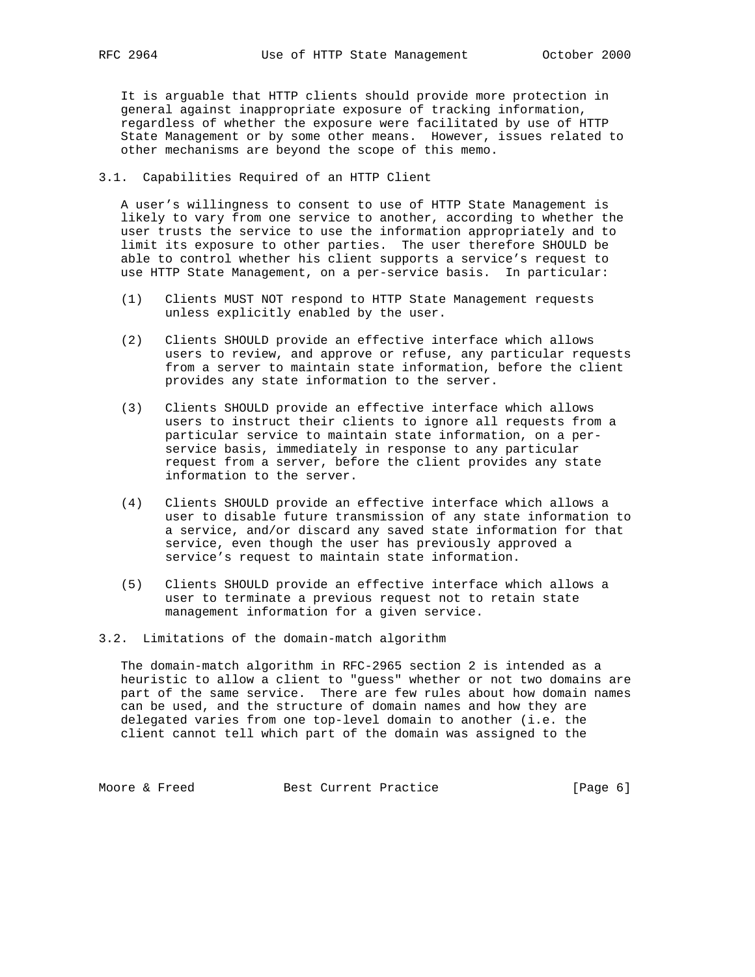It is arguable that HTTP clients should provide more protection in general against inappropriate exposure of tracking information, regardless of whether the exposure were facilitated by use of HTTP State Management or by some other means. However, issues related to other mechanisms are beyond the scope of this memo.

## 3.1. Capabilities Required of an HTTP Client

 A user's willingness to consent to use of HTTP State Management is likely to vary from one service to another, according to whether the user trusts the service to use the information appropriately and to limit its exposure to other parties. The user therefore SHOULD be able to control whether his client supports a service's request to use HTTP State Management, on a per-service basis. In particular:

- (1) Clients MUST NOT respond to HTTP State Management requests unless explicitly enabled by the user.
- (2) Clients SHOULD provide an effective interface which allows users to review, and approve or refuse, any particular requests from a server to maintain state information, before the client provides any state information to the server.
- (3) Clients SHOULD provide an effective interface which allows users to instruct their clients to ignore all requests from a particular service to maintain state information, on a per service basis, immediately in response to any particular request from a server, before the client provides any state information to the server.
- (4) Clients SHOULD provide an effective interface which allows a user to disable future transmission of any state information to a service, and/or discard any saved state information for that service, even though the user has previously approved a service's request to maintain state information.
- (5) Clients SHOULD provide an effective interface which allows a user to terminate a previous request not to retain state management information for a given service.
- 3.2. Limitations of the domain-match algorithm

 The domain-match algorithm in RFC-2965 section 2 is intended as a heuristic to allow a client to "guess" whether or not two domains are part of the same service. There are few rules about how domain names can be used, and the structure of domain names and how they are delegated varies from one top-level domain to another (i.e. the client cannot tell which part of the domain was assigned to the

Moore & Freed Best Current Practice [Page 6]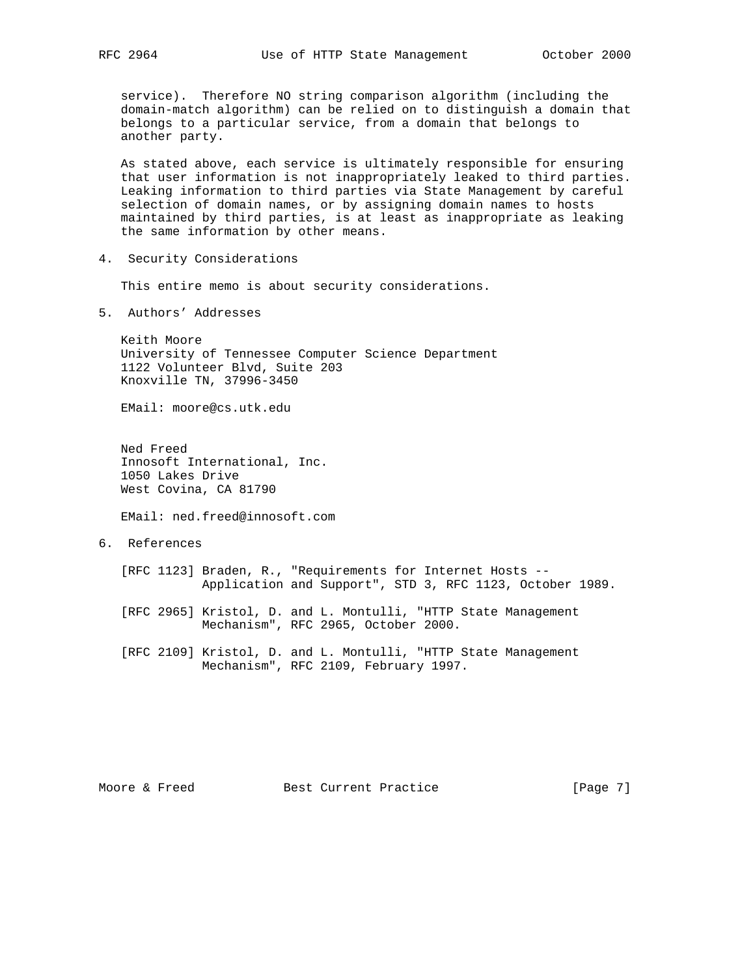service). Therefore NO string comparison algorithm (including the domain-match algorithm) can be relied on to distinguish a domain that belongs to a particular service, from a domain that belongs to another party.

 As stated above, each service is ultimately responsible for ensuring that user information is not inappropriately leaked to third parties. Leaking information to third parties via State Management by careful selection of domain names, or by assigning domain names to hosts maintained by third parties, is at least as inappropriate as leaking the same information by other means.

4. Security Considerations

This entire memo is about security considerations.

5. Authors' Addresses

 Keith Moore University of Tennessee Computer Science Department 1122 Volunteer Blvd, Suite 203 Knoxville TN, 37996-3450

EMail: moore@cs.utk.edu

 Ned Freed Innosoft International, Inc. 1050 Lakes Drive West Covina, CA 81790

EMail: ned.freed@innosoft.com

6. References

 [RFC 1123] Braden, R., "Requirements for Internet Hosts -- Application and Support", STD 3, RFC 1123, October 1989.

 [RFC 2965] Kristol, D. and L. Montulli, "HTTP State Management Mechanism", RFC 2965, October 2000.

 [RFC 2109] Kristol, D. and L. Montulli, "HTTP State Management Mechanism", RFC 2109, February 1997.

Moore & Freed Best Current Practice [Page 7]